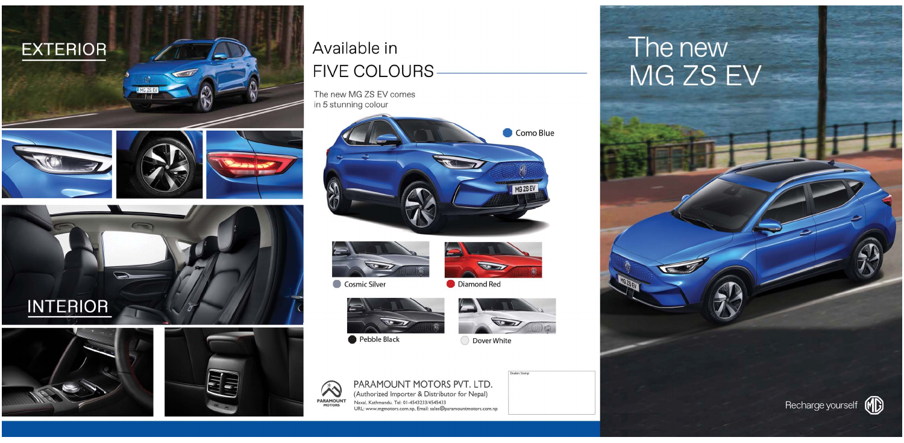













## Available in **FIVE COLOURS**

The new MG ZS EV comes in 5 stunning colour





Cosmic Silver

父



Diamond Red







O Dover White



PARAMOUNT MOTORS PVT. LTD. (Authorized Importer & Distributor for Nepal) PARAMOUNT Naxal, Kathmandu. Tel: 01-4543233/4545433 URL: www.mgmotors.com.np, Email: sales@paramountmotors.com.np

# The new MG ZS EV

Recharge yourself (